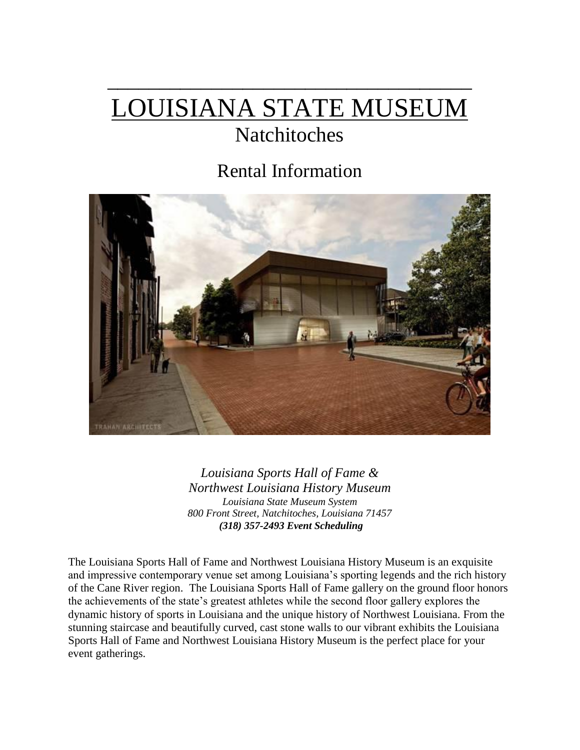# LOUISIANA STATE MUSEUM

 $\frac{1}{2}$  ,  $\frac{1}{2}$  ,  $\frac{1}{2}$  ,  $\frac{1}{2}$  ,  $\frac{1}{2}$  ,  $\frac{1}{2}$  ,  $\frac{1}{2}$  ,  $\frac{1}{2}$  ,  $\frac{1}{2}$  ,  $\frac{1}{2}$  ,  $\frac{1}{2}$  ,  $\frac{1}{2}$  ,  $\frac{1}{2}$  ,  $\frac{1}{2}$  ,  $\frac{1}{2}$  ,  $\frac{1}{2}$  ,  $\frac{1}{2}$  ,  $\frac{1}{2}$  ,  $\frac{1$ 

## Natchitoches

## Rental Information



*Louisiana Sports Hall of Fame & Northwest Louisiana History Museum Louisiana State Museum System 800 Front Street, Natchitoches, Louisiana 71457 (318) 357-2493 Event Scheduling* 

The Louisiana Sports Hall of Fame and Northwest Louisiana History Museum is an exquisite and impressive contemporary venue set among Louisiana's sporting legends and the rich history of the Cane River region. The Louisiana Sports Hall of Fame gallery on the ground floor honors the achievements of the state's greatest athletes while the second floor gallery explores the dynamic history of sports in Louisiana and the unique history of Northwest Louisiana. From the stunning staircase and beautifully curved, cast stone walls to our vibrant exhibits the Louisiana Sports Hall of Fame and Northwest Louisiana History Museum is the perfect place for your event gatherings.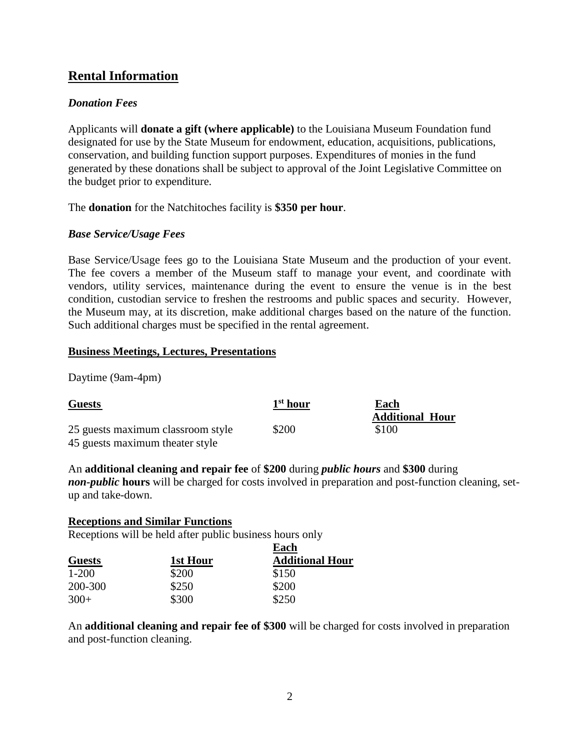## **Rental Information**

## *Donation Fees*

Applicants will **donate a gift (where applicable)** to the Louisiana Museum Foundation fund designated for use by the State Museum for endowment, education, acquisitions, publications, conservation, and building function support purposes. Expenditures of monies in the fund generated by these donations shall be subject to approval of the Joint Legislative Committee on the budget prior to expenditure.

The **donation** for the Natchitoches facility is **\$350 per hour**.

## *Base Service/Usage Fees*

Base Service/Usage fees go to the Louisiana State Museum and the production of your event. The fee covers a member of the Museum staff to manage your event, and coordinate with vendors, utility services, maintenance during the event to ensure the venue is in the best condition, custodian service to freshen the restrooms and public spaces and security. However, the Museum may, at its discretion, make additional charges based on the nature of the function. Such additional charges must be specified in the rental agreement.

## **Business Meetings, Lectures, Presentations**

Daytime (9am-4pm)

| <b>Guests</b>                     | 1 <sup>st</sup> hour | Each                   |
|-----------------------------------|----------------------|------------------------|
|                                   |                      | <b>Additional Hour</b> |
| 25 guests maximum classroom style | \$200                | \$100                  |
| 45 guests maximum theater style   |                      |                        |

## An **additional cleaning and repair fee** of **\$200** during *public hours* and **\$300** during

*non-public* **hours** will be charged for costs involved in preparation and post-function cleaning, setup and take-down.

## **Receptions and Similar Functions**

Receptions will be held after public business hours only

|               |          | Each                   |  |
|---------------|----------|------------------------|--|
| <b>Guests</b> | 1st Hour | <b>Additional Hour</b> |  |
| $1 - 200$     | \$200    | \$150                  |  |
| 200-300       | \$250    | \$200                  |  |
| $300+$        | \$300    | \$250                  |  |

An **additional cleaning and repair fee of \$300** will be charged for costs involved in preparation and post-function cleaning.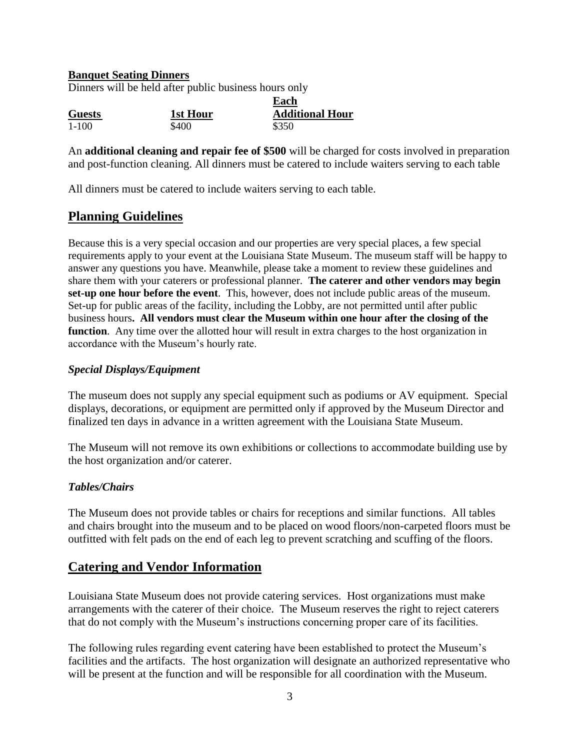## **Banquet Seating Dinners**

Dinners will be held after public business hours only

|               |          | Each                   |  |
|---------------|----------|------------------------|--|
| <b>Guests</b> | 1st Hour | <b>Additional Hour</b> |  |
| $1-100$       | \$400    | \$350                  |  |

An **additional cleaning and repair fee of \$500** will be charged for costs involved in preparation and post-function cleaning. All dinners must be catered to include waiters serving to each table

All dinners must be catered to include waiters serving to each table.

## **Planning Guidelines**

Because this is a very special occasion and our properties are very special places, a few special requirements apply to your event at the Louisiana State Museum. The museum staff will be happy to answer any questions you have. Meanwhile, please take a moment to review these guidelines and share them with your caterers or professional planner. **The caterer and other vendors may begin set-up one hour before the event**. This, however, does not include public areas of the museum. Set-up for public areas of the facility, including the Lobby, are not permitted until after public business hours**. All vendors must clear the Museum within one hour after the closing of the function**. Any time over the allotted hour will result in extra charges to the host organization in accordance with the Museum's hourly rate.

## *Special Displays/Equipment*

The museum does not supply any special equipment such as podiums or AV equipment. Special displays, decorations, or equipment are permitted only if approved by the Museum Director and finalized ten days in advance in a written agreement with the Louisiana State Museum.

The Museum will not remove its own exhibitions or collections to accommodate building use by the host organization and/or caterer.

## *Tables/Chairs*

The Museum does not provide tables or chairs for receptions and similar functions. All tables and chairs brought into the museum and to be placed on wood floors/non-carpeted floors must be outfitted with felt pads on the end of each leg to prevent scratching and scuffing of the floors.

## **Catering and Vendor Information**

Louisiana State Museum does not provide catering services. Host organizations must make arrangements with the caterer of their choice. The Museum reserves the right to reject caterers that do not comply with the Museum's instructions concerning proper care of its facilities.

The following rules regarding event catering have been established to protect the Museum's facilities and the artifacts. The host organization will designate an authorized representative who will be present at the function and will be responsible for all coordination with the Museum.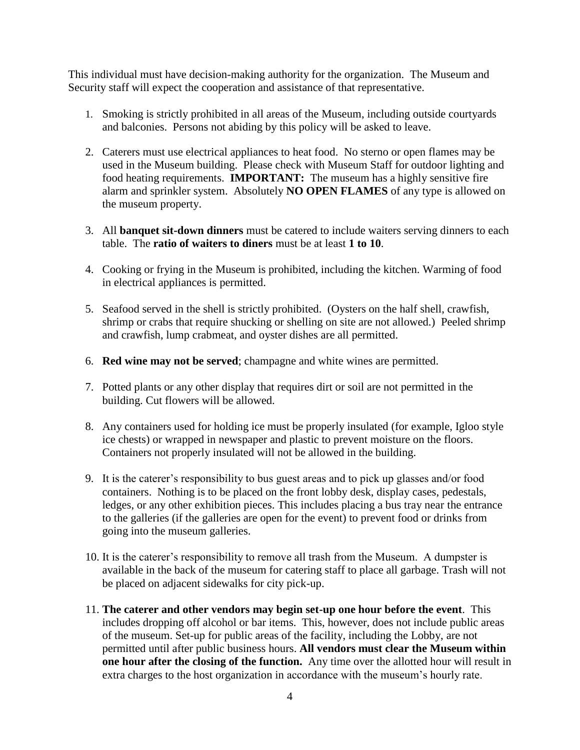This individual must have decision-making authority for the organization. The Museum and Security staff will expect the cooperation and assistance of that representative.

- 1. Smoking is strictly prohibited in all areas of the Museum, including outside courtyards and balconies. Persons not abiding by this policy will be asked to leave.
- 2. Caterers must use electrical appliances to heat food. No sterno or open flames may be used in the Museum building. Please check with Museum Staff for outdoor lighting and food heating requirements. **IMPORTANT:** The museum has a highly sensitive fire alarm and sprinkler system. Absolutely **NO OPEN FLAMES** of any type is allowed on the museum property.
- 3. All **banquet sit-down dinners** must be catered to include waiters serving dinners to each table. The **ratio of waiters to diners** must be at least **1 to 10**.
- 4. Cooking or frying in the Museum is prohibited, including the kitchen. Warming of food in electrical appliances is permitted.
- 5. Seafood served in the shell is strictly prohibited. (Oysters on the half shell, crawfish, shrimp or crabs that require shucking or shelling on site are not allowed.) Peeled shrimp and crawfish, lump crabmeat, and oyster dishes are all permitted.
- 6. **Red wine may not be served**; champagne and white wines are permitted.
- 7. Potted plants or any other display that requires dirt or soil are not permitted in the building. Cut flowers will be allowed.
- 8. Any containers used for holding ice must be properly insulated (for example, Igloo style ice chests) or wrapped in newspaper and plastic to prevent moisture on the floors. Containers not properly insulated will not be allowed in the building.
- 9. It is the caterer's responsibility to bus guest areas and to pick up glasses and/or food containers. Nothing is to be placed on the front lobby desk, display cases, pedestals, ledges, or any other exhibition pieces. This includes placing a bus tray near the entrance to the galleries (if the galleries are open for the event) to prevent food or drinks from going into the museum galleries.
- 10. It is the caterer's responsibility to remove all trash from the Museum. A dumpster is available in the back of the museum for catering staff to place all garbage. Trash will not be placed on adjacent sidewalks for city pick-up.
- 11. **The caterer and other vendors may begin set-up one hour before the event**. This includes dropping off alcohol or bar items. This, however, does not include public areas of the museum. Set-up for public areas of the facility, including the Lobby, are not permitted until after public business hours. **All vendors must clear the Museum within one hour after the closing of the function.** Any time over the allotted hour will result in extra charges to the host organization in accordance with the museum's hourly rate.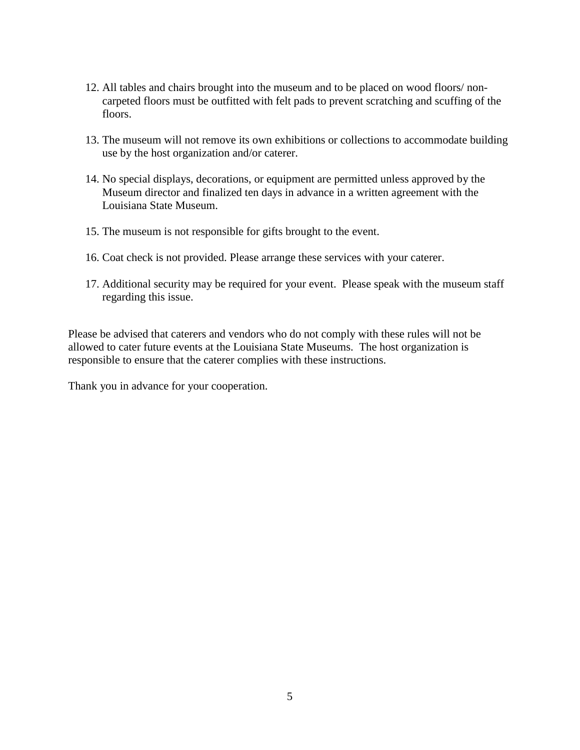- 12. All tables and chairs brought into the museum and to be placed on wood floors/ noncarpeted floors must be outfitted with felt pads to prevent scratching and scuffing of the floors.
- 13. The museum will not remove its own exhibitions or collections to accommodate building use by the host organization and/or caterer.
- 14. No special displays, decorations, or equipment are permitted unless approved by the Museum director and finalized ten days in advance in a written agreement with the Louisiana State Museum.
- 15. The museum is not responsible for gifts brought to the event.
- 16. Coat check is not provided. Please arrange these services with your caterer.
- 17. Additional security may be required for your event. Please speak with the museum staff regarding this issue.

Please be advised that caterers and vendors who do not comply with these rules will not be allowed to cater future events at the Louisiana State Museums. The host organization is responsible to ensure that the caterer complies with these instructions.

Thank you in advance for your cooperation.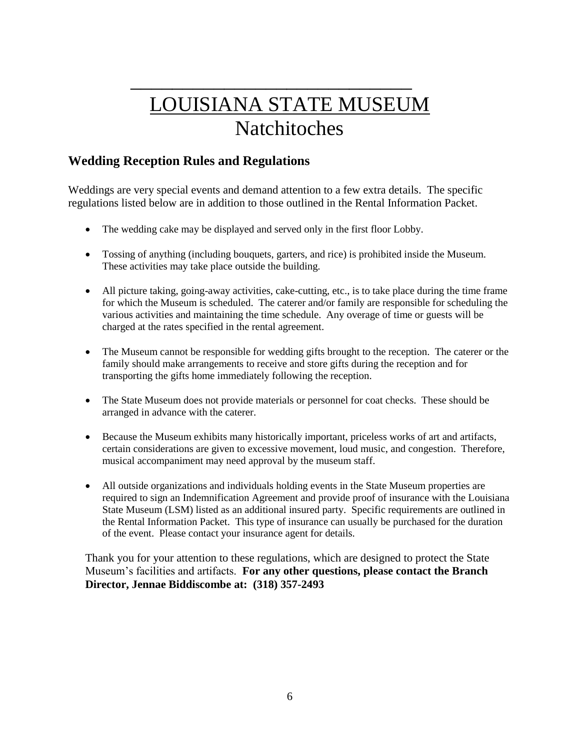## $\frac{1}{2}$  ,  $\frac{1}{2}$  ,  $\frac{1}{2}$  ,  $\frac{1}{2}$  ,  $\frac{1}{2}$  ,  $\frac{1}{2}$  ,  $\frac{1}{2}$  ,  $\frac{1}{2}$  ,  $\frac{1}{2}$  ,  $\frac{1}{2}$  ,  $\frac{1}{2}$  ,  $\frac{1}{2}$  ,  $\frac{1}{2}$  ,  $\frac{1}{2}$  ,  $\frac{1}{2}$  ,  $\frac{1}{2}$  ,  $\frac{1}{2}$  ,  $\frac{1}{2}$  ,  $\frac{1$ LOUISIANA STATE MUSEUM Natchitoches

## **Wedding Reception Rules and Regulations**

Weddings are very special events and demand attention to a few extra details. The specific regulations listed below are in addition to those outlined in the Rental Information Packet.

- The wedding cake may be displayed and served only in the first floor Lobby.
- Tossing of anything (including bouquets, garters, and rice) is prohibited inside the Museum. These activities may take place outside the building.
- All picture taking, going-away activities, cake-cutting, etc., is to take place during the time frame for which the Museum is scheduled. The caterer and/or family are responsible for scheduling the various activities and maintaining the time schedule. Any overage of time or guests will be charged at the rates specified in the rental agreement.
- The Museum cannot be responsible for wedding gifts brought to the reception. The caterer or the family should make arrangements to receive and store gifts during the reception and for transporting the gifts home immediately following the reception.
- The State Museum does not provide materials or personnel for coat checks. These should be arranged in advance with the caterer.
- Because the Museum exhibits many historically important, priceless works of art and artifacts, certain considerations are given to excessive movement, loud music, and congestion. Therefore, musical accompaniment may need approval by the museum staff.
- All outside organizations and individuals holding events in the State Museum properties are required to sign an Indemnification Agreement and provide proof of insurance with the Louisiana State Museum (LSM) listed as an additional insured party. Specific requirements are outlined in the Rental Information Packet. This type of insurance can usually be purchased for the duration of the event. Please contact your insurance agent for details.

Thank you for your attention to these regulations, which are designed to protect the State Museum's facilities and artifacts. **For any other questions, please contact the Branch Director, Jennae Biddiscombe at: (318) 357-2493**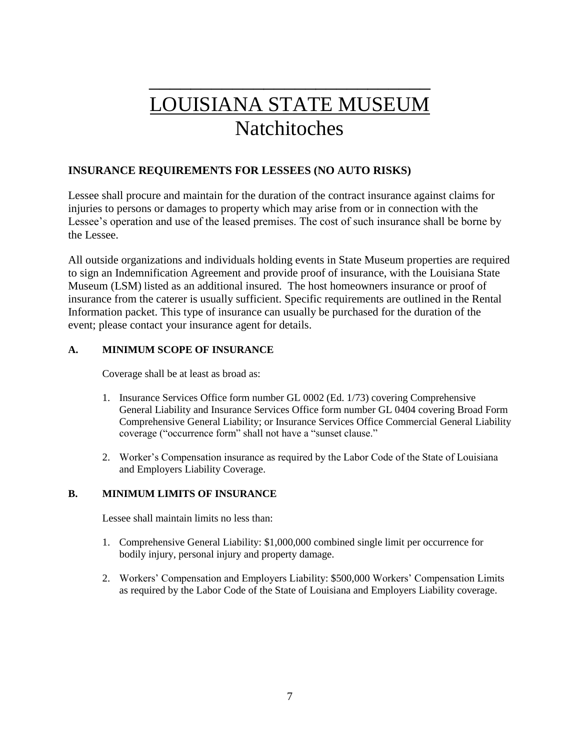## $\frac{1}{2}$  , which is a set of the set of the set of the set of the set of the set of the set of the set of the set of the set of the set of the set of the set of the set of the set of the set of the set of the set of the LOUISIANA STATE MUSEUM Natchitoches

## **INSURANCE REQUIREMENTS FOR LESSEES (NO AUTO RISKS)**

Lessee shall procure and maintain for the duration of the contract insurance against claims for injuries to persons or damages to property which may arise from or in connection with the Lessee's operation and use of the leased premises. The cost of such insurance shall be borne by the Lessee.

All outside organizations and individuals holding events in State Museum properties are required to sign an Indemnification Agreement and provide proof of insurance, with the Louisiana State Museum (LSM) listed as an additional insured. The host homeowners insurance or proof of insurance from the caterer is usually sufficient. Specific requirements are outlined in the Rental Information packet. This type of insurance can usually be purchased for the duration of the event; please contact your insurance agent for details.

### **A. MINIMUM SCOPE OF INSURANCE**

Coverage shall be at least as broad as:

- 1. Insurance Services Office form number GL 0002 (Ed. 1/73) covering Comprehensive General Liability and Insurance Services Office form number GL 0404 covering Broad Form Comprehensive General Liability; or Insurance Services Office Commercial General Liability coverage ("occurrence form" shall not have a "sunset clause."
- 2. Worker's Compensation insurance as required by the Labor Code of the State of Louisiana and Employers Liability Coverage.

### **B. MINIMUM LIMITS OF INSURANCE**

Lessee shall maintain limits no less than:

- 1. Comprehensive General Liability: \$1,000,000 combined single limit per occurrence for bodily injury, personal injury and property damage.
- 2. Workers' Compensation and Employers Liability: \$500,000 Workers' Compensation Limits as required by the Labor Code of the State of Louisiana and Employers Liability coverage.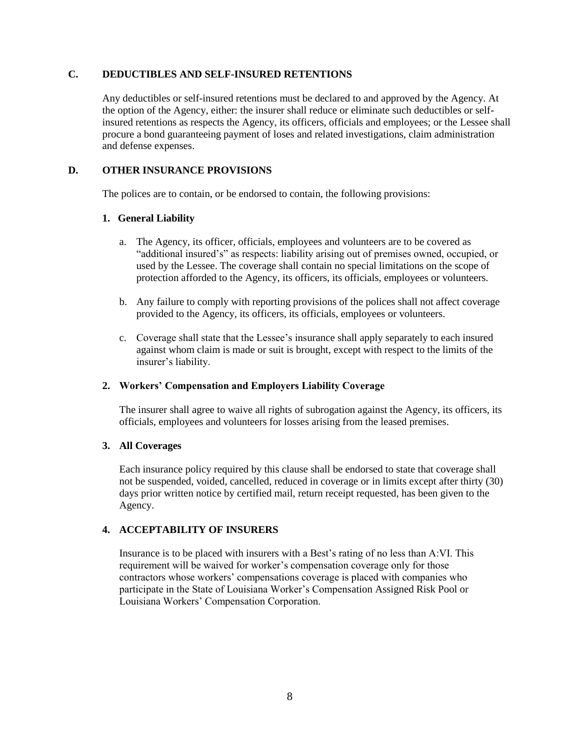### **C. DEDUCTIBLES AND SELF-INSURED RETENTIONS**

Any deductibles or self-insured retentions must be declared to and approved by the Agency. At the option of the Agency, either: the insurer shall reduce or eliminate such deductibles or selfinsured retentions as respects the Agency, its officers, officials and employees; or the Lessee shall procure a bond guaranteeing payment of loses and related investigations, claim administration and defense expenses.

#### **D. OTHER INSURANCE PROVISIONS**

The polices are to contain, or be endorsed to contain, the following provisions:

### **1. General Liability**

- a. The Agency, its officer, officials, employees and volunteers are to be covered as "additional insured's" as respects: liability arising out of premises owned, occupied, or used by the Lessee. The coverage shall contain no special limitations on the scope of protection afforded to the Agency, its officers, its officials, employees or volunteers.
- b. Any failure to comply with reporting provisions of the polices shall not affect coverage provided to the Agency, its officers, its officials, employees or volunteers.
- c. Coverage shall state that the Lessee's insurance shall apply separately to each insured against whom claim is made or suit is brought, except with respect to the limits of the insurer's liability.

### **2. Workers' Compensation and Employers Liability Coverage**

The insurer shall agree to waive all rights of subrogation against the Agency, its officers, its officials, employees and volunteers for losses arising from the leased premises.

### **3. All Coverages**

Each insurance policy required by this clause shall be endorsed to state that coverage shall not be suspended, voided, cancelled, reduced in coverage or in limits except after thirty (30) days prior written notice by certified mail, return receipt requested, has been given to the Agency.

### **4. ACCEPTABILITY OF INSURERS**

Insurance is to be placed with insurers with a Best's rating of no less than A:VI. This requirement will be waived for worker's compensation coverage only for those contractors whose workers' compensations coverage is placed with companies who participate in the State of Louisiana Worker's Compensation Assigned Risk Pool or Louisiana Workers' Compensation Corporation.